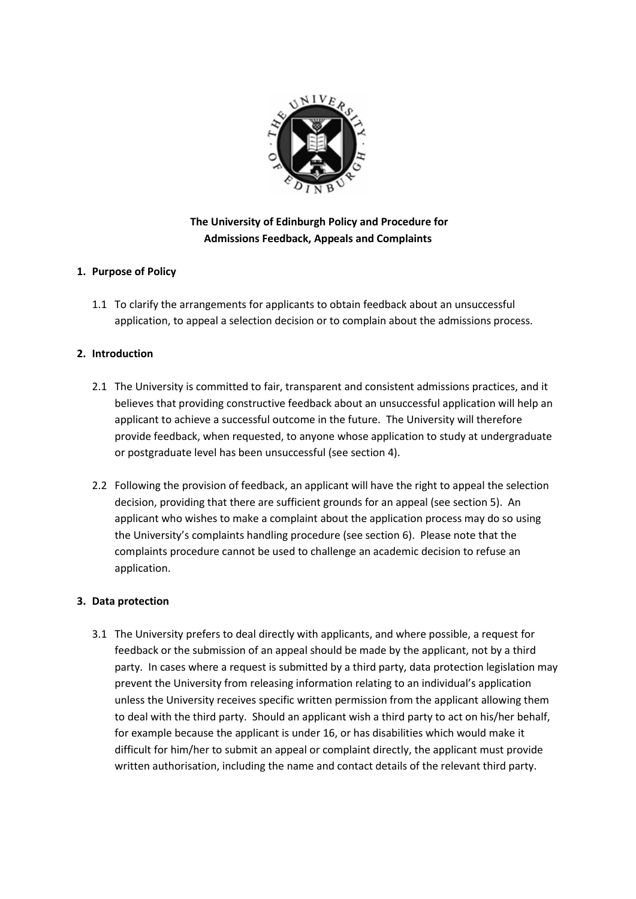

# **The University of Edinburgh Policy and Procedure for Admissions Feedback, Appeals and Complaints**

# **1. Purpose of Policy**

1.1 To clarify the arrangements for applicants to obtain feedback about an unsuccessful application, to appeal a selection decision or to complain about the admissions process.

# **2. Introduction**

- 2.1 The University is committed to fair, transparent and consistent admissions practices, and it believes that providing constructive feedback about an unsuccessful application will help an applicant to achieve a successful outcome in the future. The University will therefore provide feedback, when requested, to anyone whose application to study at undergraduate or postgraduate level has been unsuccessful (see section 4).
- 2.2 Following the provision of feedback, an applicant will have the right to appeal the selection decision, providing that there are sufficient grounds for an appeal (see section 5). An applicant who wishes to make a complaint about the application process may do so using the University's complaints handling procedure (see section 6). Please note that the complaints procedure cannot be used to challenge an academic decision to refuse an application.

## **3. Data protection**

3.1 The University prefers to deal directly with applicants, and where possible, a request for feedback or the submission of an appeal should be made by the applicant, not by a third party. In cases where a request is submitted by a third party, data protection legislation may prevent the University from releasing information relating to an individual's application unless the University receives specific written permission from the applicant allowing them to deal with the third party. Should an applicant wish a third party to act on his/her behalf, for example because the applicant is under 16, or has disabilities which would make it difficult for him/her to submit an appeal or complaint directly, the applicant must provide written authorisation, including the name and contact details of the relevant third party.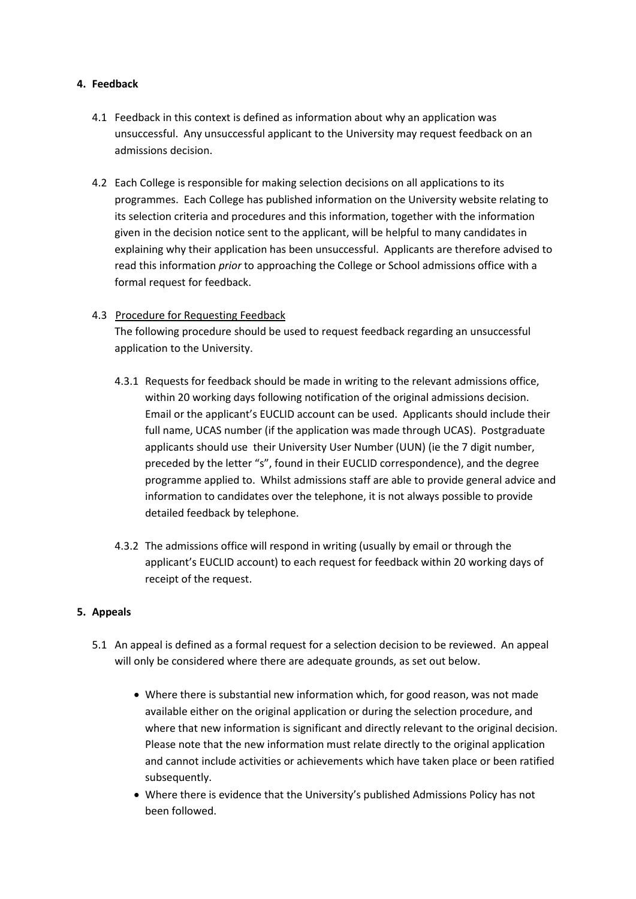### **4. Feedback**

- 4.1 Feedback in this context is defined as information about why an application was unsuccessful. Any unsuccessful applicant to the University may request feedback on an admissions decision.
- 4.2 Each College is responsible for making selection decisions on all applications to its programmes. Each College has published information on the University website relating to its selection criteria and procedures and this information, together with the information given in the decision notice sent to the applicant, will be helpful to many candidates in explaining why their application has been unsuccessful. Applicants are therefore advised to read this information *prior* to approaching the College or School admissions office with a formal request for feedback.

## 4.3 Procedure for Requesting Feedback

The following procedure should be used to request feedback regarding an unsuccessful application to the University.

- 4.3.1 Requests for feedback should be made in writing to the relevant admissions office, within 20 working days following notification of the original admissions decision. Email or the applicant's EUCLID account can be used. Applicants should include their full name, UCAS number (if the application was made through UCAS). Postgraduate applicants should use their University User Number (UUN) (ie the 7 digit number, preceded by the letter "s", found in their EUCLID correspondence), and the degree programme applied to. Whilst admissions staff are able to provide general advice and information to candidates over the telephone, it is not always possible to provide detailed feedback by telephone.
- 4.3.2 The admissions office will respond in writing (usually by email or through the applicant's EUCLID account) to each request for feedback within 20 working days of receipt of the request.

## **5. Appeals**

- 5.1 An appeal is defined as a formal request for a selection decision to be reviewed. An appeal will only be considered where there are adequate grounds, as set out below.
	- Where there is substantial new information which, for good reason, was not made available either on the original application or during the selection procedure, and where that new information is significant and directly relevant to the original decision. Please note that the new information must relate directly to the original application and cannot include activities or achievements which have taken place or been ratified subsequently.
	- Where there is evidence that the University's published Admissions Policy has not been followed.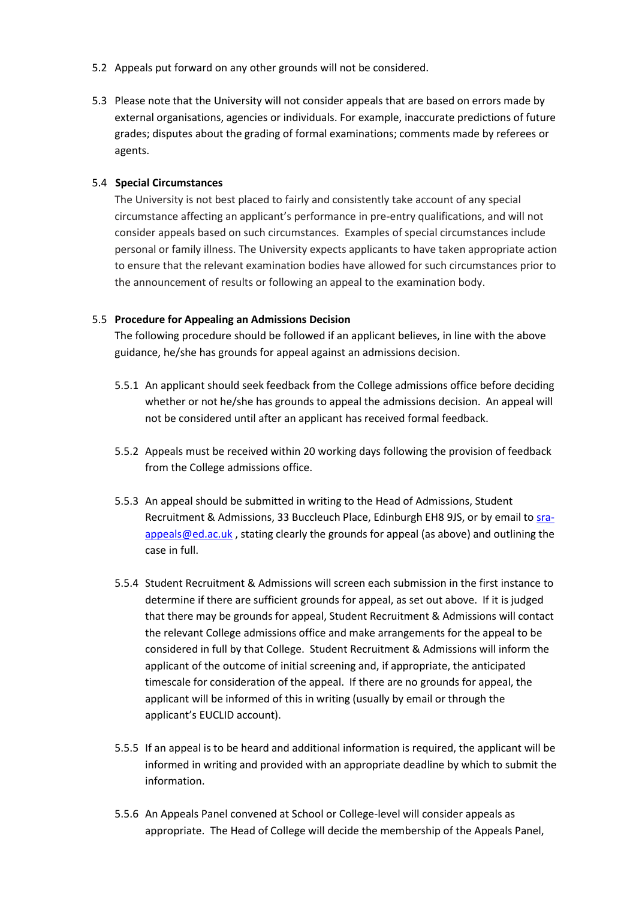- 5.2 Appeals put forward on any other grounds will not be considered.
- 5.3 Please note that the University will not consider appeals that are based on errors made by external organisations, agencies or individuals. For example, inaccurate predictions of future grades; disputes about the grading of formal examinations; comments made by referees or agents.

### 5.4 **Special Circumstances**

The University is not best placed to fairly and consistently take account of any special circumstance affecting an applicant's performance in pre-entry qualifications, and will not consider appeals based on such circumstances. Examples of special circumstances include personal or family illness. The University expects applicants to have taken appropriate action to ensure that the relevant examination bodies have allowed for such circumstances prior to the announcement of results or following an appeal to the examination body.

### 5.5 **Procedure for Appealing an Admissions Decision**

The following procedure should be followed if an applicant believes, in line with the above guidance, he/she has grounds for appeal against an admissions decision.

- 5.5.1 An applicant should seek feedback from the College admissions office before deciding whether or not he/she has grounds to appeal the admissions decision. An appeal will not be considered until after an applicant has received formal feedback.
- 5.5.2 Appeals must be received within 20 working days following the provision of feedback from the College admissions office.
- 5.5.3 An appeal should be submitted in writing to the Head of Admissions, Student Recruitment & Admissions, 33 Buccleuch Place, Edinburgh EH8 9JS, or by email to [sra](mailto:sra-appeals@ed.ac.uk)[appeals@ed.ac.uk](mailto:sra-appeals@ed.ac.uk), stating clearly the grounds for appeal (as above) and outlining the case in full.
- 5.5.4 Student Recruitment & Admissions will screen each submission in the first instance to determine if there are sufficient grounds for appeal, as set out above. If it is judged that there may be grounds for appeal, Student Recruitment & Admissions will contact the relevant College admissions office and make arrangements for the appeal to be considered in full by that College. Student Recruitment & Admissions will inform the applicant of the outcome of initial screening and, if appropriate, the anticipated timescale for consideration of the appeal. If there are no grounds for appeal, the applicant will be informed of this in writing (usually by email or through the applicant's EUCLID account).
- 5.5.5 If an appeal is to be heard and additional information is required, the applicant will be informed in writing and provided with an appropriate deadline by which to submit the information.
- 5.5.6 An Appeals Panel convened at School or College-level will consider appeals as appropriate. The Head of College will decide the membership of the Appeals Panel,